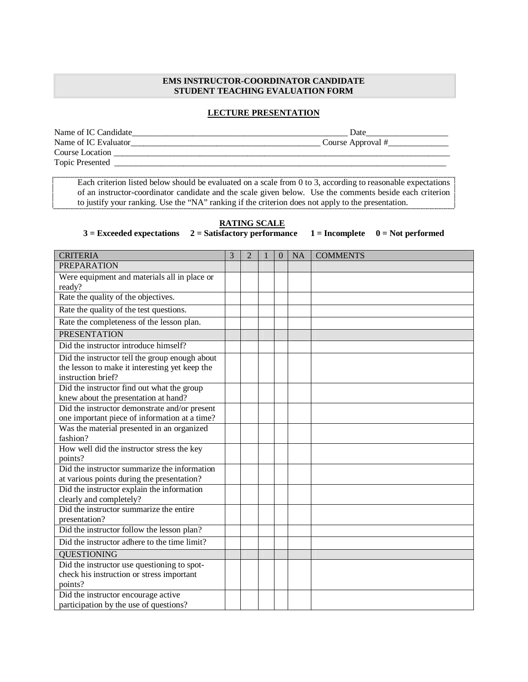## **EMS INSTRUCTOR-COORDINATOR CANDIDATE STUDENT TEACHING EVALUATION FORM**

## **LECTURE PRESENTATION**

Name of IC Candidate\_\_\_\_\_\_\_\_\_\_\_\_\_\_\_\_\_\_\_\_\_\_\_\_\_\_\_\_\_\_\_\_\_\_\_\_\_\_\_\_\_\_\_\_\_\_\_\_\_\_ Date\_\_\_\_\_\_\_\_\_\_\_\_\_\_\_\_\_\_\_ Name of IC Evaluator\_\_\_\_\_\_\_\_\_\_\_\_\_\_\_\_\_\_\_\_\_\_\_\_\_\_\_\_\_\_\_\_\_\_\_\_\_\_\_\_\_\_\_\_ Course Approval #\_\_\_\_\_\_\_\_\_\_\_\_\_\_ Course Location Topic Presented \_\_\_\_\_\_\_\_\_\_\_\_\_\_\_\_\_\_\_\_\_\_\_\_\_\_\_\_\_\_\_\_\_\_\_\_\_\_\_\_\_\_\_\_\_\_\_\_\_\_\_\_\_\_\_\_\_\_\_\_\_\_\_\_\_\_\_\_\_\_\_\_\_\_\_\_\_

Each criterion listed below should be evaluated on a scale from 0 to 3, according to reasonable expectations of an instructor-coordinator candidate and the scale given below. Use the comments beside each criterion to justify your ranking. Use the "NA" ranking if the criterion does not apply to the presentation.

## **RATING SCALE**

 $3 =$  Exceeded expectations  $2 =$  Satisfactory performance  $1 =$  Incomplete  $0 =$  Not performed

| <b>CRITERIA</b>                                                       | 3 | $\overline{2}$ | $\Omega$ | <b>NA</b> | <b>COMMENTS</b> |
|-----------------------------------------------------------------------|---|----------------|----------|-----------|-----------------|
| <b>PREPARATION</b>                                                    |   |                |          |           |                 |
| Were equipment and materials all in place or                          |   |                |          |           |                 |
| ready?                                                                |   |                |          |           |                 |
| Rate the quality of the objectives.                                   |   |                |          |           |                 |
| Rate the quality of the test questions.                               |   |                |          |           |                 |
| Rate the completeness of the lesson plan.                             |   |                |          |           |                 |
| <b>PRESENTATION</b>                                                   |   |                |          |           |                 |
| Did the instructor introduce himself?                                 |   |                |          |           |                 |
| Did the instructor tell the group enough about                        |   |                |          |           |                 |
| the lesson to make it interesting yet keep the                        |   |                |          |           |                 |
| instruction brief?                                                    |   |                |          |           |                 |
| Did the instructor find out what the group                            |   |                |          |           |                 |
| knew about the presentation at hand?                                  |   |                |          |           |                 |
| Did the instructor demonstrate and/or present                         |   |                |          |           |                 |
| one important piece of information at a time?                         |   |                |          |           |                 |
| Was the material presented in an organized                            |   |                |          |           |                 |
| fashion?                                                              |   |                |          |           |                 |
| How well did the instructor stress the key                            |   |                |          |           |                 |
| points?                                                               |   |                |          |           |                 |
| Did the instructor summarize the information                          |   |                |          |           |                 |
| at various points during the presentation?                            |   |                |          |           |                 |
| Did the instructor explain the information<br>clearly and completely? |   |                |          |           |                 |
| Did the instructor summarize the entire                               |   |                |          |           |                 |
| presentation?                                                         |   |                |          |           |                 |
| Did the instructor follow the lesson plan?                            |   |                |          |           |                 |
| Did the instructor adhere to the time limit?                          |   |                |          |           |                 |
| <b>QUESTIONING</b>                                                    |   |                |          |           |                 |
| Did the instructor use questioning to spot-                           |   |                |          |           |                 |
| check his instruction or stress important                             |   |                |          |           |                 |
| points?                                                               |   |                |          |           |                 |
| Did the instructor encourage active                                   |   |                |          |           |                 |
| participation by the use of questions?                                |   |                |          |           |                 |